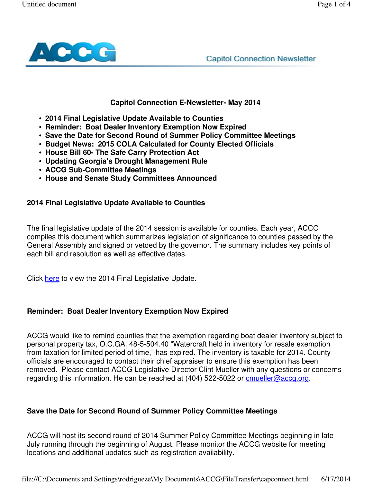

**Capitol Connection Newsletter** 

#### **Capitol Connection E-Newsletter- May 2014**

- **2014 Final Legislative Update Available to Counties**
- **Reminder: Boat Dealer Inventory Exemption Now Expired**
- **Save the Date for Second Round of Summer Policy Committee Meetings**
- **Budget News: 2015 COLA Calculated for County Elected Officials**
- **House Bill 60- The Safe Carry Protection Act**
- **Updating Georgia's Drought Management Rule**
- **ACCG Sub-Committee Meetings**
- **House and Senate Study Committees Announced**

### **2014 Final Legislative Update Available to Counties**

The final legislative update of the 2014 session is available for counties. Each year, ACCG compiles this document which summarizes legislation of significance to counties passed by the General Assembly and signed or vetoed by the governor. The summary includes key points of each bill and resolution as well as effective dates.

Click here to view the 2014 Final Legislative Update.

# **Reminder: Boat Dealer Inventory Exemption Now Expired**

ACCG would like to remind counties that the exemption regarding boat dealer inventory subject to personal property tax, O.C.GA. 48-5-504.40 "Watercraft held in inventory for resale exemption from taxation for limited period of time," has expired. The inventory is taxable for 2014. County officials are encouraged to contact their chief appraiser to ensure this exemption has been removed. Please contact ACCG Legislative Director Clint Mueller with any questions or concerns regarding this information. He can be reached at (404) 522-5022 or cmueller@accg.org.

#### **Save the Date for Second Round of Summer Policy Committee Meetings**

ACCG will host its second round of 2014 Summer Policy Committee Meetings beginning in late July running through the beginning of August. Please monitor the ACCG website for meeting locations and additional updates such as registration availability.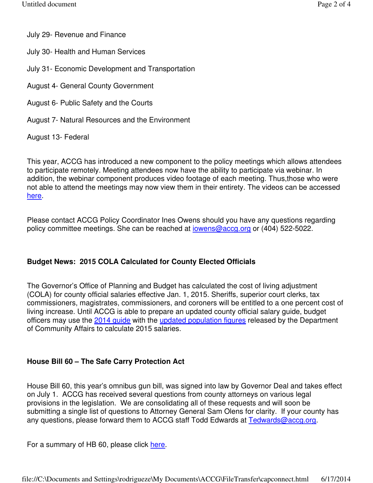July 29- Revenue and Finance

- July 30- Health and Human Services
- July 31- Economic Development and Transportation
- August 4- General County Government
- August 6- Public Safety and the Courts
- August 7- Natural Resources and the Environment

# August 13- Federal

This year, ACCG has introduced a new component to the policy meetings which allows attendees to participate remotely. Meeting attendees now have the ability to participate via webinar. In addition, the webinar component produces video footage of each meeting. Thus,those who were not able to attend the meetings may now view them in their entirety. The videos can be accessed here.

Please contact ACCG Policy Coordinator Ines Owens should you have any questions regarding policy committee meetings. She can be reached at *iowens@accg.org* or (404) 522-5022.

# **Budget News: 2015 COLA Calculated for County Elected Officials**

The Governor's Office of Planning and Budget has calculated the cost of living adjustment (COLA) for county official salaries effective Jan. 1, 2015. Sheriffs, superior court clerks, tax commissioners, magistrates, commissioners, and coroners will be entitled to a one percent cost of living increase. Until ACCG is able to prepare an updated county official salary guide, budget officers may use the 2014 guide with the updated population figures released by the Department of Community Affairs to calculate 2015 salaries.

# **House Bill 60 – The Safe Carry Protection Act**

House Bill 60, this year's omnibus gun bill, was signed into law by Governor Deal and takes effect on July 1. ACCG has received several questions from county attorneys on various legal provisions in the legislation. We are consolidating all of these requests and will soon be submitting a single list of questions to Attorney General Sam Olens for clarity. If your county has any questions, please forward them to ACCG staff Todd Edwards at Tedwards@accg.org.

For a summary of HB 60, please click here.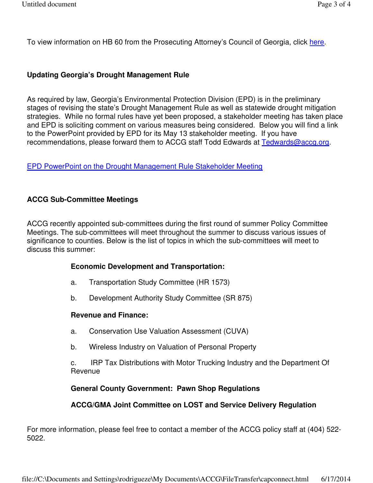To view information on HB 60 from the Prosecuting Attorney's Council of Georgia, click here.

## **Updating Georgia's Drought Management Rule**

As required by law, Georgia's Environmental Protection Division (EPD) is in the preliminary stages of revising the state's Drought Management Rule as well as statewide drought mitigation strategies. While no formal rules have yet been proposed, a stakeholder meeting has taken place and EPD is soliciting comment on various measures being considered. Below you will find a link to the PowerPoint provided by EPD for its May 13 stakeholder meeting. If you have recommendations, please forward them to ACCG staff Todd Edwards at Tedwards@accq.org.

### EPD PowerPoint on the Drought Management Rule Stakeholder Meeting

### **ACCG Sub-Committee Meetings**

ACCG recently appointed sub-committees during the first round of summer Policy Committee Meetings. The sub-committees will meet throughout the summer to discuss various issues of significance to counties. Below is the list of topics in which the sub-committees will meet to discuss this summer:

#### **Economic Development and Transportation:**

- a. Transportation Study Committee (HR 1573)
- b. Development Authority Study Committee (SR 875)

#### **Revenue and Finance:**

- a. Conservation Use Valuation Assessment (CUVA)
- b. Wireless Industry on Valuation of Personal Property

 c. IRP Tax Distributions with Motor Trucking Industry and the Department Of Revenue

# **General County Government: Pawn Shop Regulations**

# **ACCG/GMA Joint Committee on LOST and Service Delivery Regulation**

For more information, please feel free to contact a member of the ACCG policy staff at (404) 522- 5022.